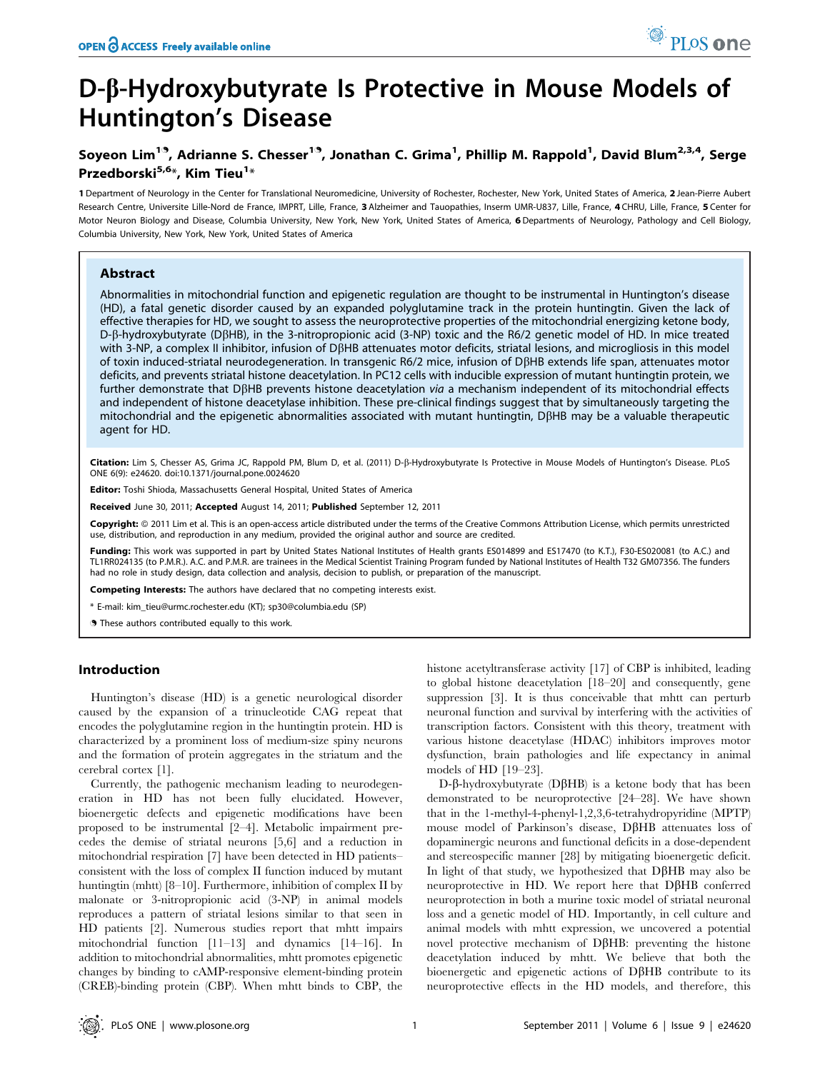# D-b-Hydroxybutyrate Is Protective in Mouse Models of Huntington's Disease

## Soyeon Lim<sup>19</sup>, Adrianne S. Chesser<sup>19</sup>, Jonathan C. Grima<sup>1</sup>, Phillip M. Rappold<sup>1</sup>, David Blum<sup>2,3,4</sup>, Serge Przedborski<sup>5,6</sup>\*, Kim Tieu<sup>1</sup>\*

1 Department of Neurology in the Center for Translational Neuromedicine, University of Rochester, Rochester, New York, United States of America, 2 Jean-Pierre Aubert Research Centre, Universite Lille-Nord de France, IMPRT, Lille, France, 3 Alzheimer and Tauopathies, Inserm UMR-U837, Lille, France, 4 CHRU, Lille, France, 5 Center for Motor Neuron Biology and Disease, Columbia University, New York, New York, United States of America, 6 Departments of Neurology, Pathology and Cell Biology, Columbia University, New York, New York, United States of America

## Abstract

Abnormalities in mitochondrial function and epigenetic regulation are thought to be instrumental in Huntington's disease (HD), a fatal genetic disorder caused by an expanded polyglutamine track in the protein huntingtin. Given the lack of effective therapies for HD, we sought to assess the neuroprotective properties of the mitochondrial energizing ketone body, D-b-hydroxybutyrate (DbHB), in the 3-nitropropionic acid (3-NP) toxic and the R6/2 genetic model of HD. In mice treated with 3-NP, a complex II inhibitor, infusion of D $\beta$ HB attenuates motor deficits, striatal lesions, and microgliosis in this model of toxin induced-striatal neurodegeneration. In transgenic R6/2 mice, infusion of DbHB extends life span, attenuates motor deficits, and prevents striatal histone deacetylation. In PC12 cells with inducible expression of mutant huntingtin protein, we further demonstrate that DBHB prevents histone deacetylation via a mechanism independent of its mitochondrial effects and independent of histone deacetylase inhibition. These pre-clinical findings suggest that by simultaneously targeting the mitochondrial and the epigenetic abnormalities associated with mutant huntingtin,  $D\beta HB$  may be a valuable therapeutic agent for HD.

Citation: Lim S, Chesser AS, Grima JC, Rappold PM, Blum D, et al. (2011) D-ß-Hydroxybutyrate Is Protective in Mouse Models of Huntington's Disease. PLoS ONE 6(9): e24620. doi:10.1371/journal.pone.0024620

Editor: Toshi Shioda, Massachusetts General Hospital, United States of America

Received June 30, 2011; Accepted August 14, 2011; Published September 12, 2011

Copyright: © 2011 Lim et al. This is an open-access article distributed under the terms of the Creative Commons Attribution License, which permits unrestricted use, distribution, and reproduction in any medium, provided the original author and source are credited.

Funding: This work was supported in part by United States National Institutes of Health grants ES014899 and ES17470 (to K.T.), F30-ES020081 (to A.C.) and TL1RR024135 (to P.M.R.). A.C. and P.M.R. are trainees in the Medical Scientist Training Program funded by National Institutes of Health T32 GM07356. The funders had no role in study design, data collection and analysis, decision to publish, or preparation of the manuscript.

Competing Interests: The authors have declared that no competing interests exist.

\* E-mail: kim\_tieu@urmc.rochester.edu (KT); sp30@columbia.edu (SP)

. These authors contributed equally to this work.

## Introduction

Huntington's disease (HD) is a genetic neurological disorder caused by the expansion of a trinucleotide CAG repeat that encodes the polyglutamine region in the huntingtin protein. HD is characterized by a prominent loss of medium-size spiny neurons and the formation of protein aggregates in the striatum and the cerebral cortex [1].

Currently, the pathogenic mechanism leading to neurodegeneration in HD has not been fully elucidated. However, bioenergetic defects and epigenetic modifications have been proposed to be instrumental [2–4]. Metabolic impairment precedes the demise of striatal neurons [5,6] and a reduction in mitochondrial respiration [7] have been detected in HD patients– consistent with the loss of complex II function induced by mutant huntingtin (mhtt) [8–10]. Furthermore, inhibition of complex II by malonate or 3-nitropropionic acid (3-NP) in animal models reproduces a pattern of striatal lesions similar to that seen in HD patients [2]. Numerous studies report that mhtt impairs mitochondrial function [11–13] and dynamics [14–16]. In addition to mitochondrial abnormalities, mhtt promotes epigenetic changes by binding to cAMP-responsive element-binding protein (CREB)-binding protein (CBP). When mhtt binds to CBP, the histone acetyltransferase activity [17] of CBP is inhibited, leading to global histone deacetylation [18–20] and consequently, gene suppression [3]. It is thus conceivable that mhtt can perturb neuronal function and survival by interfering with the activities of transcription factors. Consistent with this theory, treatment with various histone deacetylase (HDAC) inhibitors improves motor dysfunction, brain pathologies and life expectancy in animal models of HD [19–23].

PLoS one

 $D-\beta$ -hydroxybutyrate ( $D\beta HB$ ) is a ketone body that has been demonstrated to be neuroprotective [24–28]. We have shown that in the 1-methyl-4-phenyl-1,2,3,6-tetrahydropyridine (MPTP) mouse model of Parkinson's disease,  $D\beta HB$  attenuates loss of dopaminergic neurons and functional deficits in a dose-dependent and stereospecific manner [28] by mitigating bioenergetic deficit. In light of that study, we hypothesized that  $D\beta HB$  may also be neuroprotective in HD. We report here that  $D\beta HB$  conferred neuroprotection in both a murine toxic model of striatal neuronal loss and a genetic model of HD. Importantly, in cell culture and animal models with mhtt expression, we uncovered a potential novel protective mechanism of  $D\beta HB$ : preventing the histone deacetylation induced by mhtt. We believe that both the bioenergetic and epigenetic actions of  $D\beta HB$  contribute to its neuroprotective effects in the HD models, and therefore, this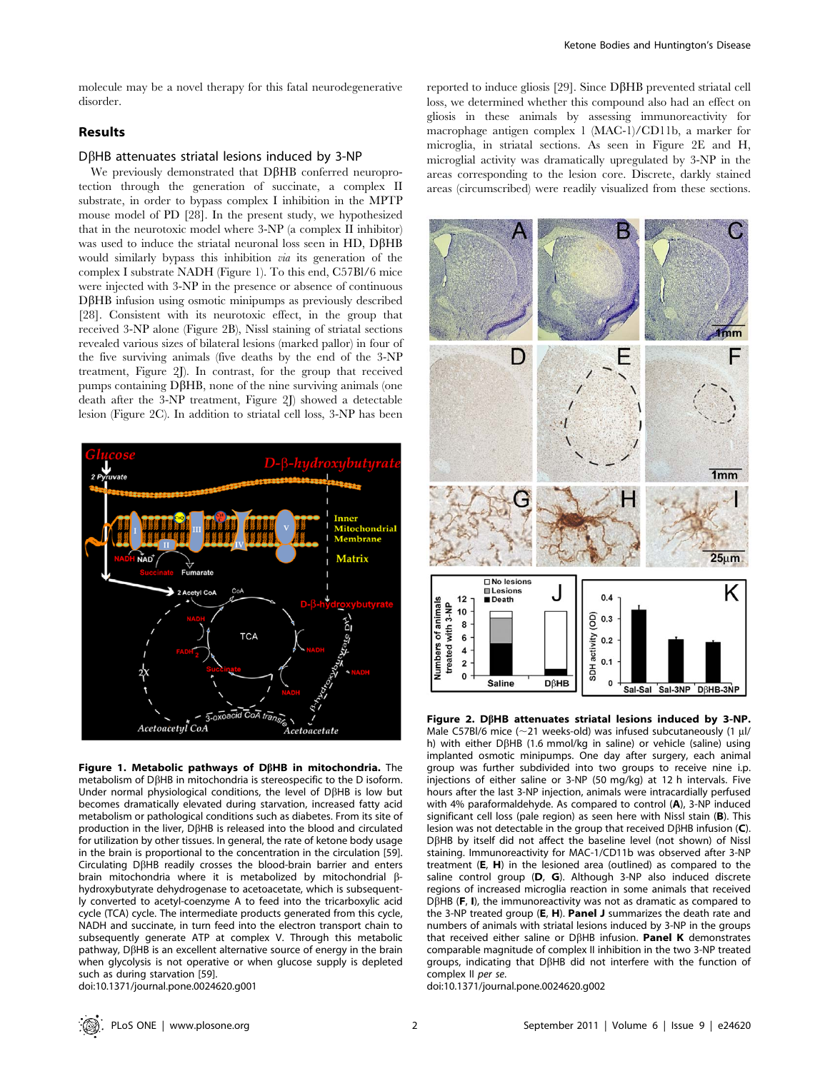molecule may be a novel therapy for this fatal neurodegenerative disorder.

## Results

## $D\beta$ HB attenuates striatal lesions induced by 3-NP

We previously demonstrated that DBHB conferred neuroprotection through the generation of succinate, a complex II substrate, in order to bypass complex I inhibition in the MPTP mouse model of PD [28]. In the present study, we hypothesized that in the neurotoxic model where 3-NP (a complex II inhibitor) was used to induce the striatal neuronal loss seen in HD,  $D\beta HB$ would similarly bypass this inhibition *via* its generation of the complex I substrate NADH (Figure 1). To this end, C57Bl/6 mice were injected with 3-NP in the presence or absence of continuous  $D\beta$ HB infusion using osmotic minipumps as previously described [28]. Consistent with its neurotoxic effect, in the group that received 3-NP alone (Figure 2B), Nissl staining of striatal sections revealed various sizes of bilateral lesions (marked pallor) in four of the five surviving animals (five deaths by the end of the 3-NP treatment, Figure 2J). In contrast, for the group that received  $p$ umps containing D $\beta$ HB, none of the nine surviving animals (one death after the 3-NP treatment, Figure 2J) showed a detectable lesion (Figure 2C). In addition to striatal cell loss, 3-NP has been



Figure 1. Metabolic pathways of D $\beta$ HB in mitochondria. The metabolism of  $D\beta$ HB in mitochondria is stereospecific to the D isoform. Under normal physiological conditions, the level of  $D\beta HB$  is low but becomes dramatically elevated during starvation, increased fatty acid metabolism or pathological conditions such as diabetes. From its site of production in the liver, DBHB is released into the blood and circulated for utilization by other tissues. In general, the rate of ketone body usage in the brain is proportional to the concentration in the circulation [59]. Circulating  $D\beta HB$  readily crosses the blood-brain barrier and enters brain mitochondria where it is metabolized by mitochondrial  $\beta$ hydroxybutyrate dehydrogenase to acetoacetate, which is subsequently converted to acetyl-coenzyme A to feed into the tricarboxylic acid cycle (TCA) cycle. The intermediate products generated from this cycle, NADH and succinate, in turn feed into the electron transport chain to subsequently generate ATP at complex V. Through this metabolic pathway,  $D\beta$ HB is an excellent alternative source of energy in the brain when glycolysis is not operative or when glucose supply is depleted such as during starvation [59].

doi:10.1371/journal.pone.0024620.g001

reported to induce gliosis [29]. Since  $D\beta HB$  prevented striatal cell loss, we determined whether this compound also had an effect on gliosis in these animals by assessing immunoreactivity for macrophage antigen complex 1 (MAC-1)/CD11b, a marker for microglia, in striatal sections. As seen in Figure 2E and H, microglial activity was dramatically upregulated by 3-NP in the areas corresponding to the lesion core. Discrete, darkly stained areas (circumscribed) were readily visualized from these sections.



Figure 2. DBHB attenuates striatal lesions induced by 3-NP. Male C57Bl/6 mice ( $\sim$ 21 weeks-old) was infused subcutaneously (1 µl/ h) with either DBHB (1.6 mmol/kg in saline) or vehicle (saline) using implanted osmotic minipumps. One day after surgery, each animal group was further subdivided into two groups to receive nine i.p. injections of either saline or 3-NP (50 mg/kg) at 12 h intervals. Five hours after the last 3-NP injection, animals were intracardially perfused with 4% paraformaldehyde. As compared to control (A), 3-NP induced significant cell loss (pale region) as seen here with Nissl stain (B). This lesion was not detectable in the group that received D $\beta$ HB infusion (C). DBHB by itself did not affect the baseline level (not shown) of Nissl staining. Immunoreactivity for MAC-1/CD11b was observed after 3-NP treatment (E, H) in the lesioned area (outlined) as compared to the saline control group (D, G). Although 3-NP also induced discrete regions of increased microglia reaction in some animals that received  $D\beta$ HB (F, I), the immunoreactivity was not as dramatic as compared to the 3-NP treated group (E, H). Panel J summarizes the death rate and numbers of animals with striatal lesions induced by 3-NP in the groups that received either saline or D $\beta$ HB infusion. Panel K demonstrates comparable magnitude of complex II inhibition in the two 3-NP treated groups, indicating that DBHB did not interfere with the function of complex II per se.

doi:10.1371/journal.pone.0024620.g002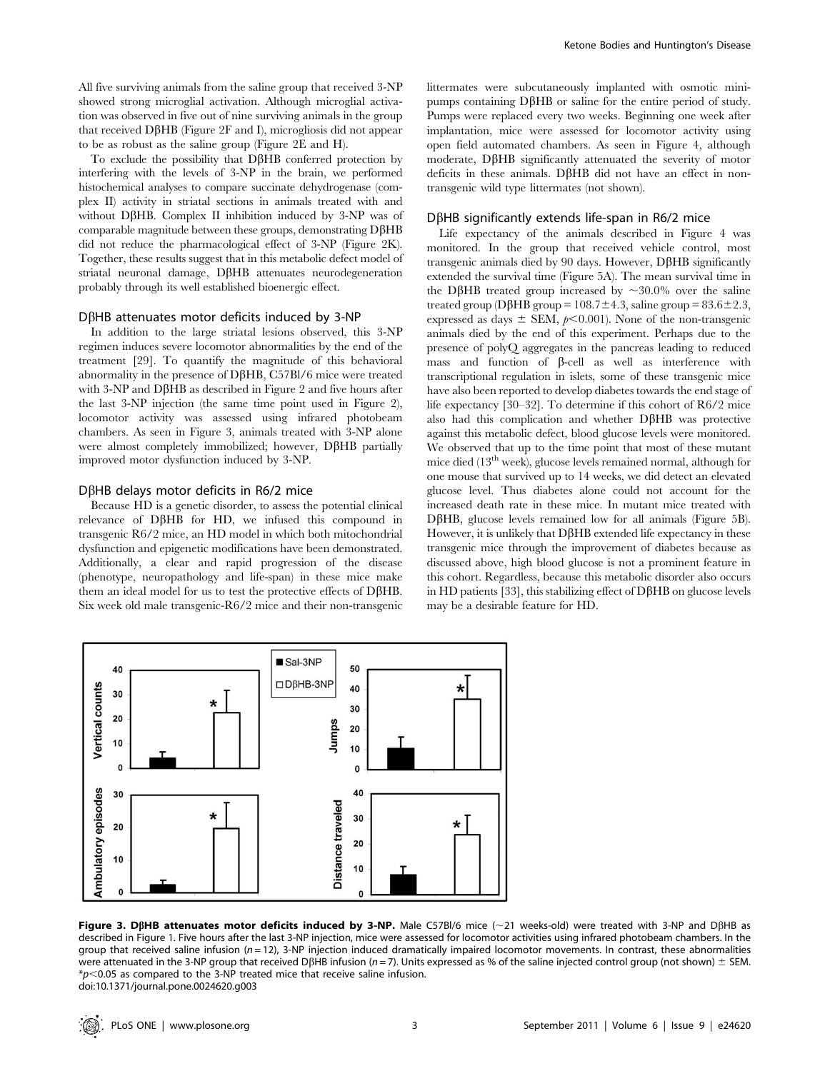All five surviving animals from the saline group that received 3-NP showed strong microglial activation. Although microglial activation was observed in five out of nine surviving animals in the group that received D $\beta$ HB (Figure 2F and I), microgliosis did not appear to be as robust as the saline group (Figure 2E and H).

To exclude the possibility that  $D\beta HB$  conferred protection by interfering with the levels of 3-NP in the brain, we performed histochemical analyses to compare succinate dehydrogenase (complex II) activity in striatal sections in animals treated with and without D $\beta$ HB. Complex II inhibition induced by 3-NP was of comparable magnitude between these groups, demonstrating  $D\beta HB$ did not reduce the pharmacological effect of 3-NP (Figure 2K). Together, these results suggest that in this metabolic defect model of striatal neuronal damage, D $\beta$ HB attenuates neurodegeneration probably through its well established bioenergic effect.

## $D\beta$ HB attenuates motor deficits induced by 3-NP

In addition to the large striatal lesions observed, this 3-NP regimen induces severe locomotor abnormalities by the end of the treatment [29]. To quantify the magnitude of this behavioral abnormality in the presence of DBHB, C57Bl/6 mice were treated with  $3-NP$  and  $D\beta HB$  as described in Figure 2 and five hours after the last 3-NP injection (the same time point used in Figure 2), locomotor activity was assessed using infrared photobeam chambers. As seen in Figure 3, animals treated with 3-NP alone were almost completely immobilized; however, D $\beta$ HB partially improved motor dysfunction induced by 3-NP.

#### $D\beta$ HB delays motor deficits in R6/2 mice

Because HD is a genetic disorder, to assess the potential clinical relevance of D $\beta$ HB for HD, we infused this compound in transgenic R6/2 mice, an HD model in which both mitochondrial dysfunction and epigenetic modifications have been demonstrated. Additionally, a clear and rapid progression of the disease (phenotype, neuropathology and life-span) in these mice make them an ideal model for us to test the protective effects of  $D\beta HB$ . Six week old male transgenic-R6/2 mice and their non-transgenic littermates were subcutaneously implanted with osmotic minipumps containing  $D\beta HB$  or saline for the entire period of study. Pumps were replaced every two weeks. Beginning one week after implantation, mice were assessed for locomotor activity using open field automated chambers. As seen in Figure 4, although moderate, DBHB significantly attenuated the severity of motor deficits in these animals.  $D\beta HB$  did not have an effect in nontransgenic wild type littermates (not shown).

#### $D\beta$ HB significantly extends life-span in R6/2 mice

Life expectancy of the animals described in Figure 4 was monitored. In the group that received vehicle control, most transgenic animals died by 90 days. However,  $D\beta HB$  significantly extended the survival time (Figure 5A). The mean survival time in the D $\beta$ HB treated group increased by  $\sim$ 30.0% over the saline treated group (D $\beta$ HB group = 108.7 $\pm$ 4.3, saline group = 83.6 $\pm$ 2.3, expressed as days  $\pm$  SEM,  $p<0.001$ ). None of the non-transgenic animals died by the end of this experiment. Perhaps due to the presence of polyQ aggregates in the pancreas leading to reduced mass and function of  $\beta$ -cell as well as interference with transcriptional regulation in islets, some of these transgenic mice have also been reported to develop diabetes towards the end stage of life expectancy [30–32]. To determine if this cohort of R6/2 mice also had this complication and whether  $D\beta HB$  was protective against this metabolic defect, blood glucose levels were monitored. We observed that up to the time point that most of these mutant mice died  $(13<sup>th</sup> week)$ , glucose levels remained normal, although for one mouse that survived up to 14 weeks, we did detect an elevated glucose level. Thus diabetes alone could not account for the increased death rate in these mice. In mutant mice treated with  $D\beta$ HB, glucose levels remained low for all animals (Figure 5B). However, it is unlikely that  $D\beta HB$  extended life expectancy in these transgenic mice through the improvement of diabetes because as discussed above, high blood glucose is not a prominent feature in this cohort. Regardless, because this metabolic disorder also occurs in HD patients [33], this stabilizing effect of  $D\beta$ HB on glucose levels may be a desirable feature for HD.



Figure 3. DßHB attenuates motor deficits induced by 3-NP. Male C57Bl/6 mice ( $\sim$ 21 weeks-old) were treated with 3-NP and DßHB as described in Figure 1. Five hours after the last 3-NP injection, mice were assessed for locomotor activities using infrared photobeam chambers. In the group that received saline infusion ( $n = 12$ ), 3-NP injection induced dramatically impaired locomotor movements. In contrast, these abnormalities were attenuated in the 3-NP group that received DBHB infusion (n = 7). Units expressed as % of the saline injected control group (not shown)  $\pm$  SEM.  $*p$ <0.05 as compared to the 3-NP treated mice that receive saline infusion. doi:10.1371/journal.pone.0024620.g003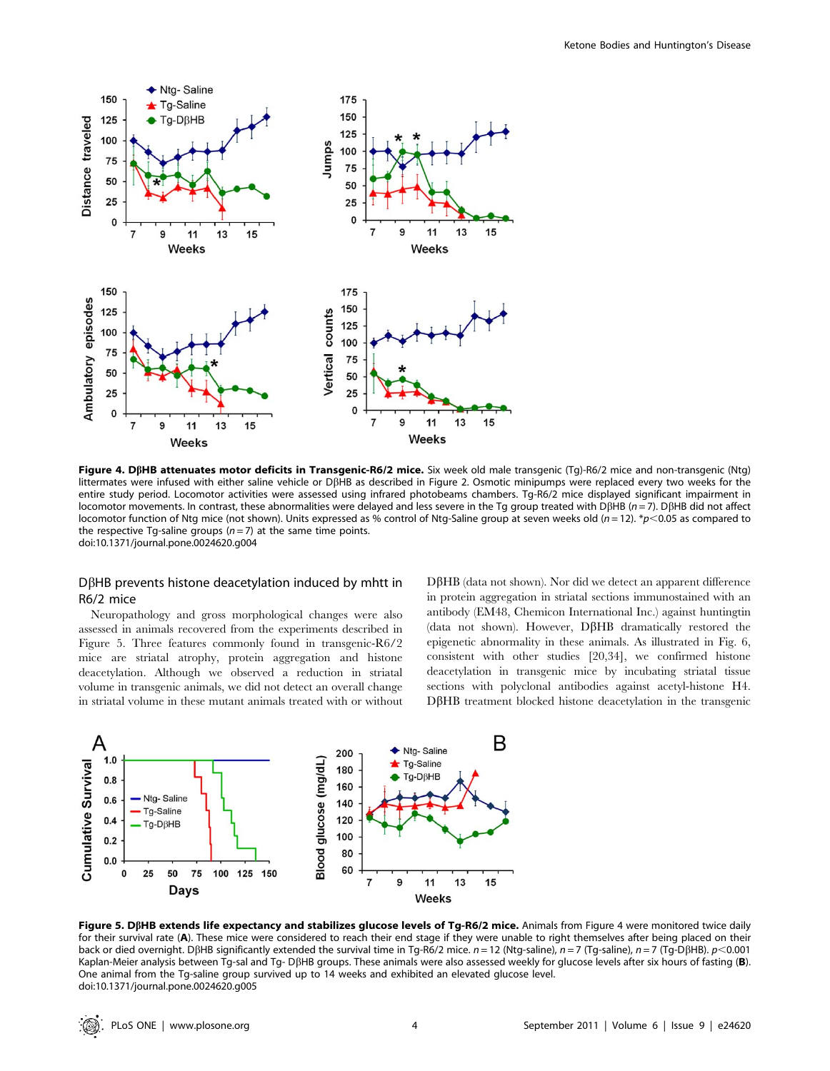

Figure 4. DßHB attenuates motor deficits in Transgenic-R6/2 mice. Six week old male transgenic (Tg)-R6/2 mice and non-transgenic (Ntg) littermates were infused with either saline vehicle or DbHB as described in Figure 2. Osmotic minipumps were replaced every two weeks for the entire study period. Locomotor activities were assessed using infrared photobeams chambers. Tg-R6/2 mice displayed significant impairment in locomotor movements. In contrast, these abnormalities were delayed and less severe in the Tg group treated with D $\beta$ HB (n = 7). D $\beta$ HB did not affect locomotor function of Ntg mice (not shown). Units expressed as % control of Ntg-Saline group at seven weeks old ( $n = 12$ ). \*p<0.05 as compared to the respective Tg-saline groups  $(n=7)$  at the same time points. doi:10.1371/journal.pone.0024620.g004

## $D\beta$ HB prevents histone deacetylation induced by mhtt in R6/2 mice

Neuropathology and gross morphological changes were also assessed in animals recovered from the experiments described in Figure 5. Three features commonly found in transgenic-R6/2 mice are striatal atrophy, protein aggregation and histone deacetylation. Although we observed a reduction in striatal volume in transgenic animals, we did not detect an overall change in striatal volume in these mutant animals treated with or without DBHB (data not shown). Nor did we detect an apparent difference in protein aggregation in striatal sections immunostained with an antibody (EM48, Chemicon International Inc.) against huntingtin (data not shown). However,  $D\beta HB$  dramatically restored the epigenetic abnormality in these animals. As illustrated in Fig. 6, consistent with other studies [20,34], we confirmed histone deacetylation in transgenic mice by incubating striatal tissue sections with polyclonal antibodies against acetyl-histone H4.  $D\beta HB$  treatment blocked histone deacetylation in the transgenic



Figure 5. DßHB extends life expectancy and stabilizes glucose levels of Tg-R6/2 mice. Animals from Figure 4 were monitored twice daily for their survival rate (A). These mice were considered to reach their end stage if they were unable to right themselves after being placed on their back or died overnight. DBHB significantly extended the survival time in Tg-R6/2 mice.  $n = 12$  (Ntg-saline),  $n = 7$  (Tg-saline),  $n = 7$  (Tg-DBHB).  $p < 0.001$ Kaplan-Meier analysis between Tg-sal and Tg- DßHB groups. These animals were also assessed weekly for glucose levels after six hours of fasting (B). One animal from the Tg-saline group survived up to 14 weeks and exhibited an elevated glucose level. doi:10.1371/journal.pone.0024620.g005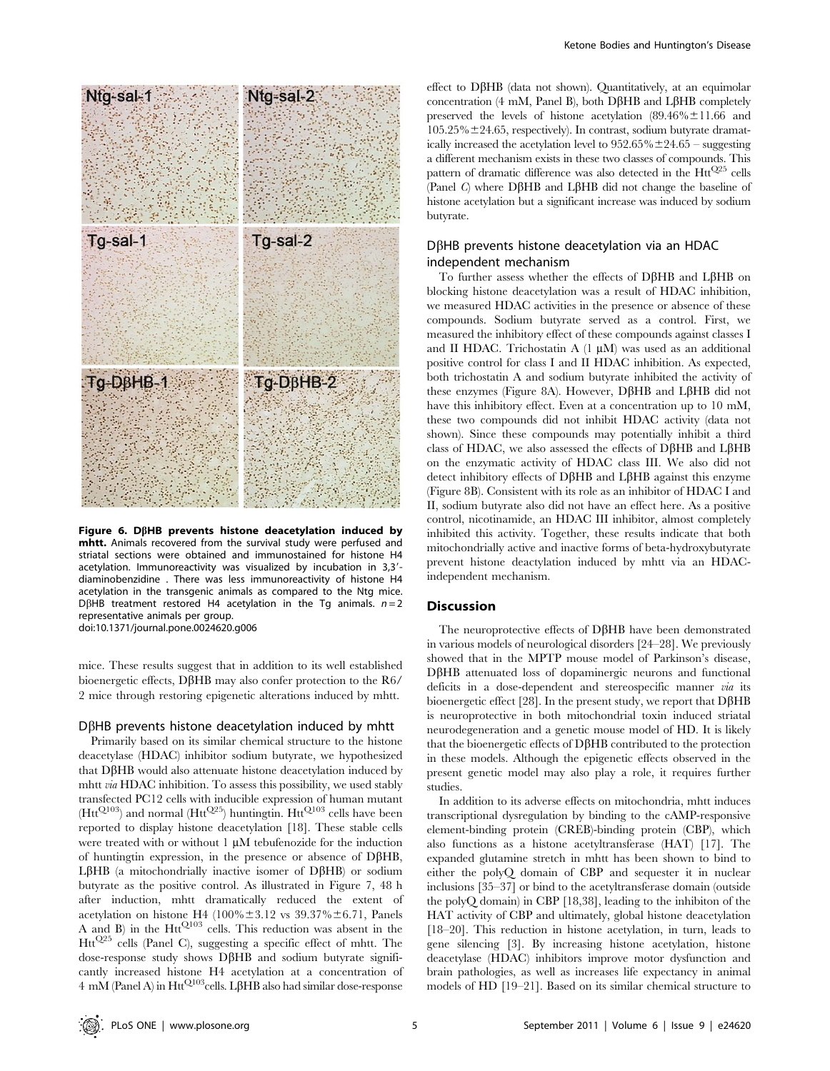

Figure 6. D $\beta$ HB prevents histone deacetylation induced by mhtt. Animals recovered from the survival study were perfused and striatal sections were obtained and immunostained for histone H4 acetylation. Immunoreactivity was visualized by incubation in  $3,3'$ diaminobenzidine . There was less immunoreactivity of histone H4 acetylation in the transgenic animals as compared to the Ntg mice. DBHB treatment restored H4 acetylation in the Tq animals.  $n = 2$ representative animals per group. doi:10.1371/journal.pone.0024620.g006

mice. These results suggest that in addition to its well established bioenergetic effects, D $\beta$ HB may also confer protection to the R6/ 2 mice through restoring epigenetic alterations induced by mhtt.

#### $D\beta$ HB prevents histone deacetylation induced by mhtt

Primarily based on its similar chemical structure to the histone deacetylase (HDAC) inhibitor sodium butyrate, we hypothesized that DBHB would also attenuate histone deacetylation induced by mhtt via HDAC inhibition. To assess this possibility, we used stably transfected PC12 cells with inducible expression of human mutant  $(Htt^{Q103})$  and normal  $(Htt^{Q25})$  huntingtin. Htt<sup>Q103</sup> cells have been reported to display histone deacetylation [18]. These stable cells were treated with or without  $1 \mu M$  tebufenozide for the induction of huntingtin expression, in the presence or absence of  $D\beta HB$ ,  $L\beta HB$  (a mitochondrially inactive isomer of D $\beta HB$ ) or sodium butyrate as the positive control. As illustrated in Figure 7, 48 h after induction, mhtt dramatically reduced the extent of acetylation on histone H4 (100% $\pm$ 3.12 vs 39.37% $\pm$ 6.71, Panels A and B) in the  $Htt^{Q103}$  cells. This reduction was absent in the HttQ25 cells (Panel C), suggesting a specific effect of mhtt. The  $dose-response$  study shows D $\beta$ HB and sodium butyrate significantly increased histone H4 acetylation at a concentration of  $4 \text{ mM}$  (Panel A) in Htt<sup>Q103</sup>cells. L $\beta$ HB also had similar dose-response effect to  $D\beta HB$  (data not shown). Quantitatively, at an equimolar concentration (4 mM, Panel B), both D $\beta$ HB and L $\beta$ HB completely preserved the levels of histone acetylation  $(89.46\% \pm 11.66$  and  $105.25\% \pm 24.65$ , respectively). In contrast, sodium butyrate dramatically increased the acetylation level to  $952.65\% \pm 24.65$  – suggesting a different mechanism exists in these two classes of compounds. This pattern of dramatic difference was also detected in the  $Htt^{Q25}$  cells (Panel C) where  $D\beta HB$  and  $L\beta HB$  did not change the baseline of histone acetylation but a significant increase was induced by sodium butyrate.

## $D\beta$ HB prevents histone deacetylation via an HDAC independent mechanism

To further assess whether the effects of DBHB and LBHB on blocking histone deacetylation was a result of HDAC inhibition, we measured HDAC activities in the presence or absence of these compounds. Sodium butyrate served as a control. First, we measured the inhibitory effect of these compounds against classes I and II HDAC. Trichostatin A  $(1 \mu M)$  was used as an additional positive control for class I and II HDAC inhibition. As expected, both trichostatin A and sodium butyrate inhibited the activity of these enzymes (Figure 8A). However,  $D\beta HB$  and  $L\beta HB$  did not have this inhibitory effect. Even at a concentration up to 10 mM, these two compounds did not inhibit HDAC activity (data not shown). Since these compounds may potentially inhibit a third class of HDAC, we also assessed the effects of  $D\beta HB$  and  $L\beta HB$ on the enzymatic activity of HDAC class III. We also did not detect inhibitory effects of D $\beta$ HB and L $\beta$ HB against this enzyme (Figure 8B). Consistent with its role as an inhibitor of HDAC I and II, sodium butyrate also did not have an effect here. As a positive control, nicotinamide, an HDAC III inhibitor, almost completely inhibited this activity. Together, these results indicate that both mitochondrially active and inactive forms of beta-hydroxybutyrate prevent histone deactylation induced by mhtt via an HDACindependent mechanism.

## **Discussion**

The neuroprotective effects of  $D\beta HB$  have been demonstrated in various models of neurological disorders [24–28]. We previously showed that in the MPTP mouse model of Parkinson's disease,  $D\beta$ HB attenuated loss of dopaminergic neurons and functional deficits in a dose-dependent and stereospecific manner via its bioenergetic effect [28]. In the present study, we report that  $D\beta HB$ is neuroprotective in both mitochondrial toxin induced striatal neurodegeneration and a genetic mouse model of HD. It is likely that the bioenergetic effects of  $D\beta HB$  contributed to the protection in these models. Although the epigenetic effects observed in the present genetic model may also play a role, it requires further studies.

In addition to its adverse effects on mitochondria, mhtt induces transcriptional dysregulation by binding to the cAMP-responsive element-binding protein (CREB)-binding protein (CBP), which also functions as a histone acetyltransferase (HAT) [17]. The expanded glutamine stretch in mhtt has been shown to bind to either the polyQ domain of CBP and sequester it in nuclear inclusions [35–37] or bind to the acetyltransferase domain (outside the polyQ domain) in CBP [18,38], leading to the inhibiton of the HAT activity of CBP and ultimately, global histone deacetylation [18–20]. This reduction in histone acetylation, in turn, leads to gene silencing [3]. By increasing histone acetylation, histone deacetylase (HDAC) inhibitors improve motor dysfunction and brain pathologies, as well as increases life expectancy in animal models of HD [19–21]. Based on its similar chemical structure to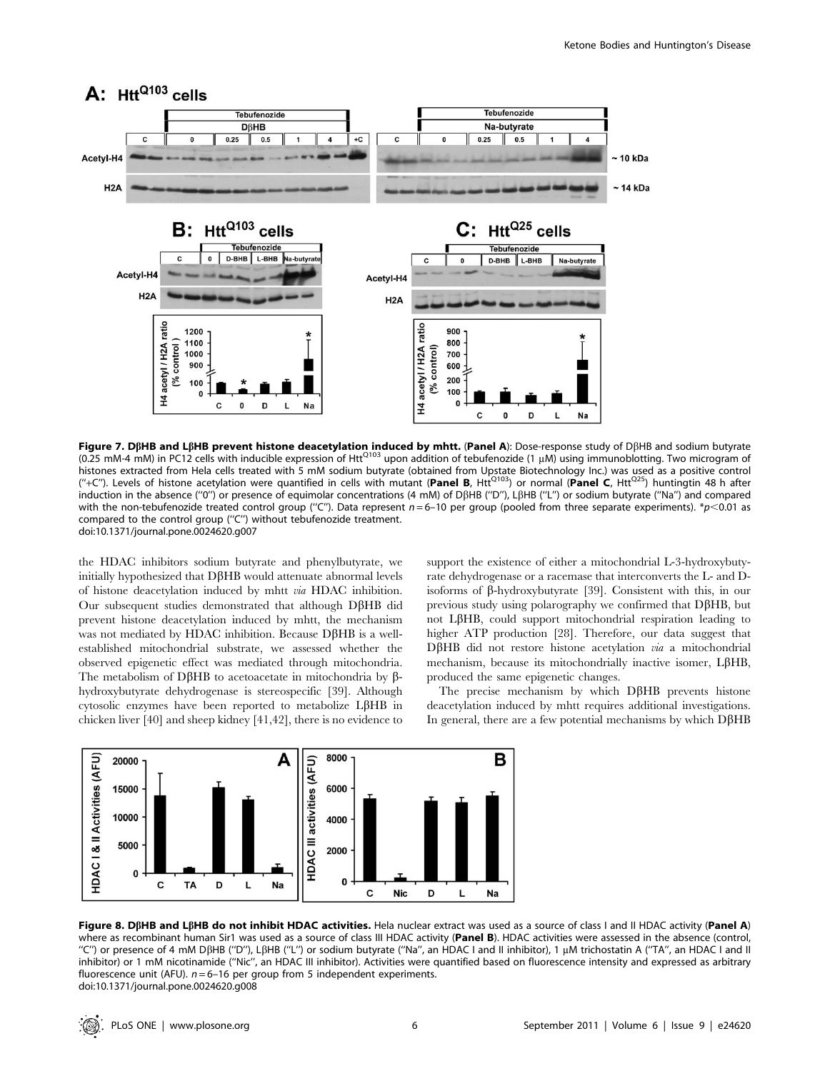

Figure 7. DBHB and LBHB prevent histone deacetylation induced by mhtt. (Panel A): Dose-response study of DBHB and sodium butyrate (0.25 mM-4 mM) in PC12 cells with inducible expression of HttQ103 upon addition of tebufenozide (1 mM) using immunoblotting. Two microgram of histones extracted from Hela cells treated with 5 mM sodium butyrate (obtained from Upstate Biotechnology Inc.) was used as a positive control ("+C"). Levels of histone acetylation were quantified in cells with mutant (Panel B, Htt<sup>Q103</sup>) or normal (Panel C, Htt<sup>Q25</sup>) huntingtin 48 h after induction in the absence ("0") or presence of equimolar concentrations (4 mM) of DBHB ("D"), LBHB ("L") or sodium butyrate ("Na") and compared with the non-tebufenozide treated control group ("C"). Data represent  $n = 6$ –10 per group (pooled from three separate experiments). \*p<0.01 as compared to the control group (''C'') without tebufenozide treatment. doi:10.1371/journal.pone.0024620.g007

the HDAC inhibitors sodium butyrate and phenylbutyrate, we initially hypothesized that  $D\beta HB$  would attenuate abnormal levels of histone deacetylation induced by mhtt via HDAC inhibition. Our subsequent studies demonstrated that although D $\beta$ HB did prevent histone deacetylation induced by mhtt, the mechanism was not mediated by HDAC inhibition. Because  $D\beta HB$  is a wellestablished mitochondrial substrate, we assessed whether the observed epigenetic effect was mediated through mitochondria. The metabolism of D $\beta$ HB to acetoacetate in mitochondria by  $\beta$ hydroxybutyrate dehydrogenase is stereospecific [39]. Although cytosolic enzymes have been reported to metabolize L $\beta$ HB in chicken liver [40] and sheep kidney [41,42], there is no evidence to support the existence of either a mitochondrial L-3-hydroxybutyrate dehydrogenase or a racemase that interconverts the L- and Disoforms of  $\beta$ -hydroxybutyrate [39]. Consistent with this, in our previous study using polarography we confirmed that  $D\beta HB$ , but not L $\beta$ HB, could support mitochondrial respiration leading to higher ATP production [28]. Therefore, our data suggest that  $D\beta HB$  did not restore histone acetylation via a mitochondrial mechanism, because its mitochondrially inactive isomer,  $L\beta HB$ , produced the same epigenetic changes.

The precise mechanism by which  $D\beta HB$  prevents histone deacetylation induced by mhtt requires additional investigations. In general, there are a few potential mechanisms by which  $D\beta HB$ 



Figure 8. DßHB and LßHB do not inhibit HDAC activities. Hela nuclear extract was used as a source of class I and II HDAC activity (Panel A) where as recombinant human Sir1 was used as a source of class III HDAC activity (Panel B). HDAC activities were assessed in the absence (control, "C") or presence of 4 mM DβHB ("D"), LβHB ("L") or sodium butyrate ("Na", an HDAC I and II inhibitor), 1 μM trichostatin A ("TA", an HDAC I and II inhibitor) or 1 mM nicotinamide (''Nic'', an HDAC III inhibitor). Activities were quantified based on fluorescence intensity and expressed as arbitrary fluorescence unit (AFU).  $n = 6-16$  per group from 5 independent experiments. doi:10.1371/journal.pone.0024620.g008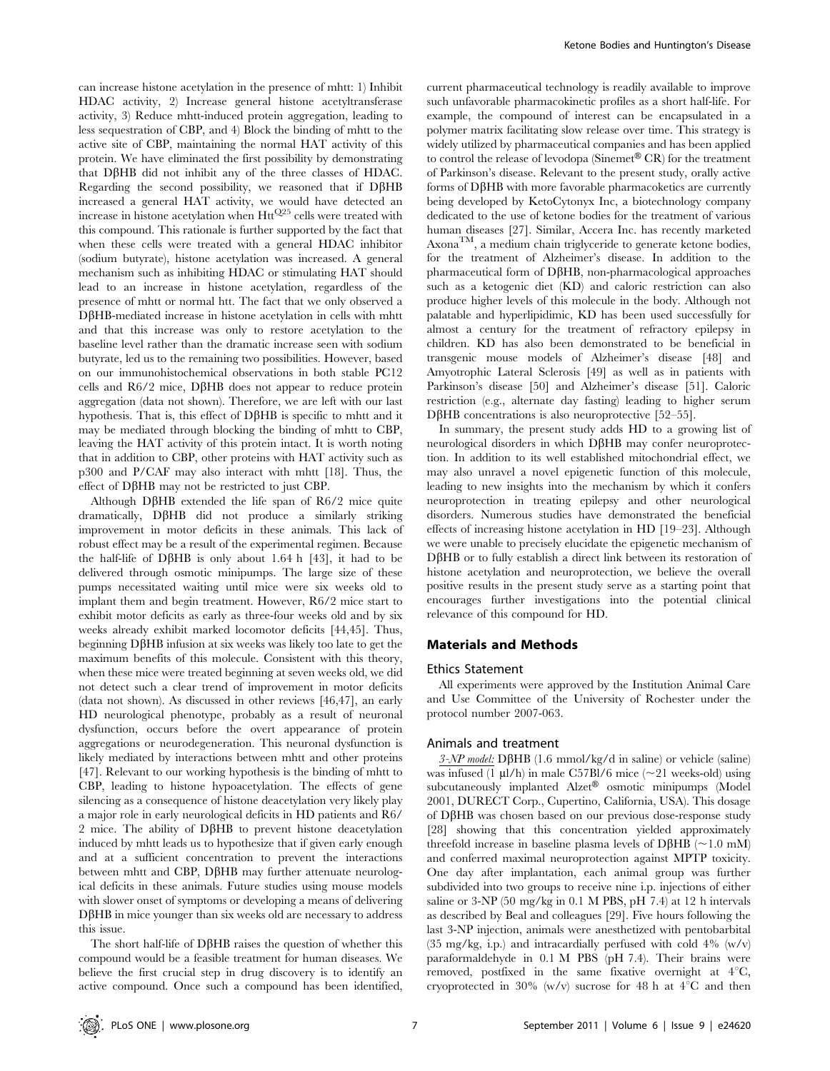can increase histone acetylation in the presence of mhtt: 1) Inhibit HDAC activity, 2) Increase general histone acetyltransferase activity, 3) Reduce mhtt-induced protein aggregation, leading to less sequestration of CBP, and 4) Block the binding of mhtt to the active site of CBP, maintaining the normal HAT activity of this protein. We have eliminated the first possibility by demonstrating that  $D\beta HB$  did not inhibit any of the three classes of HDAC. Regarding the second possibility, we reasoned that if  $D\beta HB$ increased a general HAT activity, we would have detected an increase in histone acetylation when  $Htt^{Q25}$  cells were treated with this compound. This rationale is further supported by the fact that when these cells were treated with a general HDAC inhibitor (sodium butyrate), histone acetylation was increased. A general mechanism such as inhibiting HDAC or stimulating HAT should lead to an increase in histone acetylation, regardless of the presence of mhtt or normal htt. The fact that we only observed a DβHB-mediated increase in histone acetylation in cells with mhtt and that this increase was only to restore acetylation to the baseline level rather than the dramatic increase seen with sodium butyrate, led us to the remaining two possibilities. However, based on our immunohistochemical observations in both stable PC12 cells and  $R6/2$  mice, D $\beta$ HB does not appear to reduce protein aggregation (data not shown). Therefore, we are left with our last hypothesis. That is, this effect of  $D\beta HB$  is specific to mhtt and it may be mediated through blocking the binding of mhtt to CBP, leaving the HAT activity of this protein intact. It is worth noting that in addition to CBP, other proteins with HAT activity such as p300 and P/CAF may also interact with mhtt [18]. Thus, the effect of DβHB may not be restricted to just CBP.

Although D $\beta$ HB extended the life span of R6/2 mice quite dramatically, D $\beta$ HB did not produce a similarly striking improvement in motor deficits in these animals. This lack of robust effect may be a result of the experimental regimen. Because the half-life of D $\beta$ HB is only about 1.64 h [43], it had to be delivered through osmotic minipumps. The large size of these pumps necessitated waiting until mice were six weeks old to implant them and begin treatment. However, R6/2 mice start to exhibit motor deficits as early as three-four weeks old and by six weeks already exhibit marked locomotor deficits [44,45]. Thus, beginning  $D\beta HB$  infusion at six weeks was likely too late to get the maximum benefits of this molecule. Consistent with this theory, when these mice were treated beginning at seven weeks old, we did not detect such a clear trend of improvement in motor deficits (data not shown). As discussed in other reviews [46,47], an early HD neurological phenotype, probably as a result of neuronal dysfunction, occurs before the overt appearance of protein aggregations or neurodegeneration. This neuronal dysfunction is likely mediated by interactions between mhtt and other proteins [47]. Relevant to our working hypothesis is the binding of mhtt to CBP, leading to histone hypoacetylation. The effects of gene silencing as a consequence of histone deacetylation very likely play a major role in early neurological deficits in HD patients and R6/ 2 mice. The ability of  $D\beta HB$  to prevent histone deacetylation induced by mhtt leads us to hypothesize that if given early enough and at a sufficient concentration to prevent the interactions between mhtt and CBP, D $\beta$ HB may further attenuate neurological deficits in these animals. Future studies using mouse models with slower onset of symptoms or developing a means of delivering  $D\beta$ HB in mice younger than six weeks old are necessary to address this issue.

The short half-life of  $D\beta HB$  raises the question of whether this compound would be a feasible treatment for human diseases. We believe the first crucial step in drug discovery is to identify an active compound. Once such a compound has been identified,

current pharmaceutical technology is readily available to improve such unfavorable pharmacokinetic profiles as a short half-life. For example, the compound of interest can be encapsulated in a polymer matrix facilitating slow release over time. This strategy is widely utilized by pharmaceutical companies and has been applied to control the release of levodopa (Sinemet<sup>®</sup> CR) for the treatment of Parkinson's disease. Relevant to the present study, orally active forms of  $D\beta HB$  with more favorable pharmacoketics are currently being developed by KetoCytonyx Inc, a biotechnology company dedicated to the use of ketone bodies for the treatment of various human diseases [27]. Similar, Accera Inc. has recently marketed AxonaTM, a medium chain triglyceride to generate ketone bodies, for the treatment of Alzheimer's disease. In addition to the pharmaceutical form of D $\beta$ HB, non-pharmacological approaches such as a ketogenic diet (KD) and caloric restriction can also produce higher levels of this molecule in the body. Although not palatable and hyperlipidimic, KD has been used successfully for almost a century for the treatment of refractory epilepsy in children. KD has also been demonstrated to be beneficial in transgenic mouse models of Alzheimer's disease [48] and Amyotrophic Lateral Sclerosis [49] as well as in patients with Parkinson's disease [50] and Alzheimer's disease [51]. Caloric restriction (e.g., alternate day fasting) leading to higher serum  $D\beta$ HB concentrations is also neuroprotective [52–55].

In summary, the present study adds HD to a growing list of neurological disorders in which D $\beta$ HB may confer neuroprotection. In addition to its well established mitochondrial effect, we may also unravel a novel epigenetic function of this molecule, leading to new insights into the mechanism by which it confers neuroprotection in treating epilepsy and other neurological disorders. Numerous studies have demonstrated the beneficial effects of increasing histone acetylation in HD [19–23]. Although we were unable to precisely elucidate the epigenetic mechanism of  $D\beta$ HB or to fully establish a direct link between its restoration of histone acetylation and neuroprotection, we believe the overall positive results in the present study serve as a starting point that encourages further investigations into the potential clinical relevance of this compound for HD.

## Materials and Methods

#### Ethics Statement

All experiments were approved by the Institution Animal Care and Use Committee of the University of Rochester under the protocol number 2007-063.

## Animals and treatment

 $3-NP$  model: D $\beta$ HB (1.6 mmol/kg/d in saline) or vehicle (saline) was infused (1  $\mu$ l/h) in male C57Bl/6 mice (~21 weeks-old) using subcutaneously implanted Alzet<sup>®</sup> osmotic minipumps (Model 2001, DURECT Corp., Cupertino, California, USA). This dosage of  $D\beta HB$  was chosen based on our previous dose-response study [28] showing that this concentration yielded approximately threefold increase in baseline plasma levels of D $\beta$ HB (~1.0 mM) and conferred maximal neuroprotection against MPTP toxicity. One day after implantation, each animal group was further subdivided into two groups to receive nine i.p. injections of either saline or 3-NP (50 mg/kg in 0.1 M PBS, pH 7.4) at 12 h intervals as described by Beal and colleagues [29]. Five hours following the last 3-NP injection, animals were anesthetized with pentobarbital (35 mg/kg, i.p.) and intracardially perfused with cold  $4\%$  (w/v) paraformaldehyde in 0.1 M PBS (pH 7.4). Their brains were removed, postfixed in the same fixative overnight at  $4^{\circ}C$ , cryoprotected in 30% (w/v) sucrose for 48 h at  $4^{\circ}$ C and then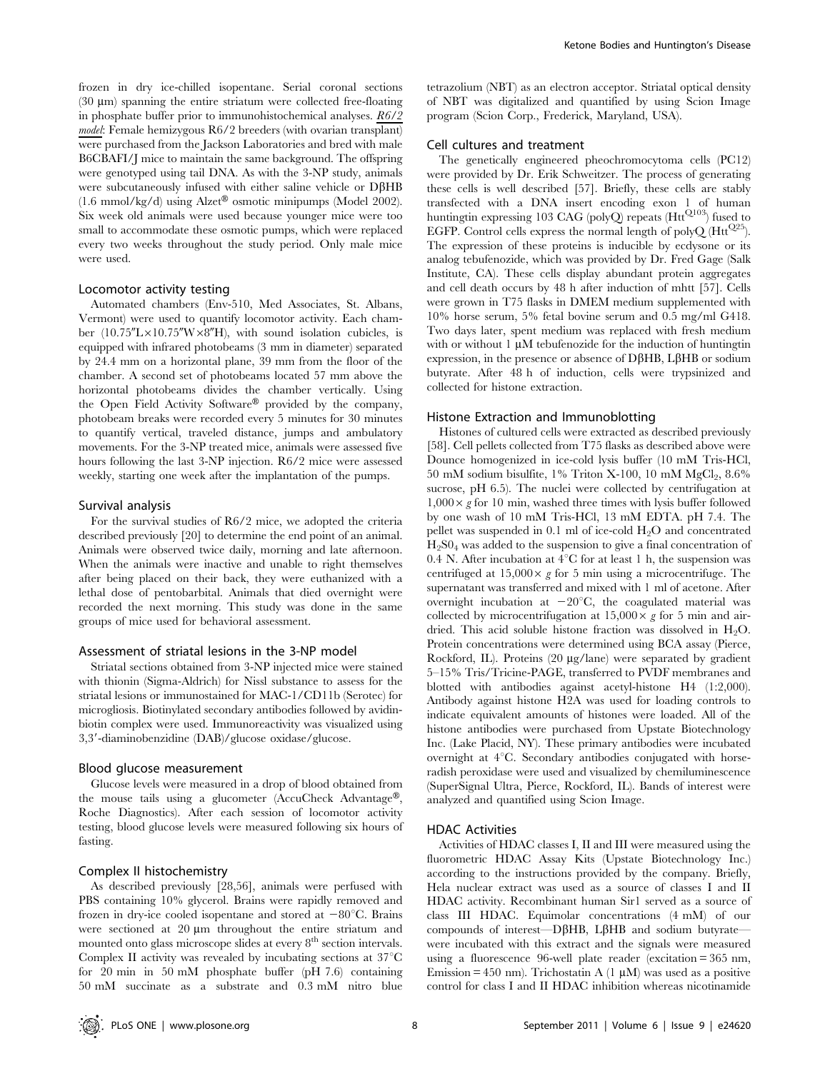frozen in dry ice-chilled isopentane. Serial coronal sections  $(30 \mu m)$  spanning the entire striatum were collected free-floating in phosphate buffer prior to immunohistochemical analyses. R6/2 model: Female hemizygous R6/2 breeders (with ovarian transplant) were purchased from the Jackson Laboratories and bred with male B6CBAFI/J mice to maintain the same background. The offspring were genotyped using tail DNA. As with the 3-NP study, animals were subcutaneously infused with either saline vehicle or DBHB  $(1.6 \text{ mmol/kg/d})$  using Alzet<sup>®</sup> osmotic minipumps (Model 2002). Six week old animals were used because younger mice were too small to accommodate these osmotic pumps, which were replaced every two weeks throughout the study period. Only male mice were used.

#### Locomotor activity testing

Automated chambers (Env-510, Med Associates, St. Albans, Vermont) were used to quantify locomotor activity. Each chamber (10.75" $L \times 10.75$ " $W \times 8$ "H), with sound isolation cubicles, is equipped with infrared photobeams (3 mm in diameter) separated by 24.4 mm on a horizontal plane, 39 mm from the floor of the chamber. A second set of photobeams located 57 mm above the horizontal photobeams divides the chamber vertically. Using the Open Field Activity Software $\mathcal{P}$  provided by the company, photobeam breaks were recorded every 5 minutes for 30 minutes to quantify vertical, traveled distance, jumps and ambulatory movements. For the 3-NP treated mice, animals were assessed five hours following the last 3-NP injection. R6/2 mice were assessed weekly, starting one week after the implantation of the pumps.

#### Survival analysis

For the survival studies of R6/2 mice, we adopted the criteria described previously [20] to determine the end point of an animal. Animals were observed twice daily, morning and late afternoon. When the animals were inactive and unable to right themselves after being placed on their back, they were euthanized with a lethal dose of pentobarbital. Animals that died overnight were recorded the next morning. This study was done in the same groups of mice used for behavioral assessment.

#### Assessment of striatal lesions in the 3-NP model

Striatal sections obtained from 3-NP injected mice were stained with thionin (Sigma-Aldrich) for Nissl substance to assess for the striatal lesions or immunostained for MAC-1/CD11b (Serotec) for microgliosis. Biotinylated secondary antibodies followed by avidinbiotin complex were used. Immunoreactivity was visualized using 3,39-diaminobenzidine (DAB)/glucose oxidase/glucose.

#### Blood glucose measurement

Glucose levels were measured in a drop of blood obtained from the mouse tails using a glucometer (AccuCheck Advantage®, Roche Diagnostics). After each session of locomotor activity testing, blood glucose levels were measured following six hours of fasting.

## Complex II histochemistry

As described previously [28,56], animals were perfused with PBS containing 10% glycerol. Brains were rapidly removed and frozen in dry-ice cooled isopentane and stored at  $-80^{\circ}$ C. Brains were sectioned at  $20 \mu m$  throughout the entire striatum and mounted onto glass microscope slides at every 8<sup>th</sup> section intervals. Complex II activity was revealed by incubating sections at  $37^{\circ}$ C for 20 min in 50 mM phosphate buffer (pH 7.6) containing 50 mM succinate as a substrate and 0.3 mM nitro blue

tetrazolium (NBT) as an electron acceptor. Striatal optical density of NBT was digitalized and quantified by using Scion Image program (Scion Corp., Frederick, Maryland, USA).

## Cell cultures and treatment

The genetically engineered pheochromocytoma cells (PC12) were provided by Dr. Erik Schweitzer. The process of generating these cells is well described [57]. Briefly, these cells are stably transfected with a DNA insert encoding exon 1 of human huntingtin expressing 103 CAG (polyQ) repeats  $(Htt^{Q103})$  fused to EGFP. Control cells express the normal length of polyQ  $(Htt^{Q25})$ . The expression of these proteins is inducible by ecdysone or its analog tebufenozide, which was provided by Dr. Fred Gage (Salk Institute, CA). These cells display abundant protein aggregates and cell death occurs by 48 h after induction of mhtt [57]. Cells were grown in T75 flasks in DMEM medium supplemented with 10% horse serum, 5% fetal bovine serum and 0.5 mg/ml G418. Two days later, spent medium was replaced with fresh medium with or without  $1 \mu M$  tebufenozide for the induction of huntingtin expression, in the presence or absence of  $D\beta HB$ ,  $L\beta HB$  or sodium butyrate. After 48 h of induction, cells were trypsinized and collected for histone extraction.

#### Histone Extraction and Immunoblotting

Histones of cultured cells were extracted as described previously [58]. Cell pellets collected from T75 flasks as described above were Dounce homogenized in ice-cold lysis buffer (10 mM Tris-HCl, 50 mM sodium bisulfite,  $1\%$  Triton X-100, 10 mM MgCl<sub>2</sub>,  $8.6\%$ sucrose, pH 6.5). The nuclei were collected by centrifugation at  $1,000 \times g$  for 10 min, washed three times with lysis buffer followed by one wash of 10 mM Tris-HCl, 13 mM EDTA. pH 7.4. The pellet was suspended in 0.1 ml of ice-cold  $H_2O$  and concentrated  $H<sub>2</sub>S0<sub>4</sub>$  was added to the suspension to give a final concentration of 0.4 N. After incubation at  $4^{\circ}$ C for at least 1 h, the suspension was centrifuged at  $15,000 \times g$  for 5 min using a microcentrifuge. The supernatant was transferred and mixed with 1 ml of acetone. After overnight incubation at  $-20^{\circ}$ C, the coagulated material was collected by microcentrifugation at  $15,000 \times g$  for 5 min and airdried. This acid soluble histone fraction was dissolved in  $H_2O$ . Protein concentrations were determined using BCA assay (Pierce, Rockford, IL). Proteins (20 µg/lane) were separated by gradient 5–15% Tris/Tricine-PAGE, transferred to PVDF membranes and blotted with antibodies against acetyl-histone H4 (1:2,000). Antibody against histone H2A was used for loading controls to indicate equivalent amounts of histones were loaded. All of the histone antibodies were purchased from Upstate Biotechnology Inc. (Lake Placid, NY). These primary antibodies were incubated overnight at  $4^{\circ}$ C. Secondary antibodies conjugated with horseradish peroxidase were used and visualized by chemiluminescence (SuperSignal Ultra, Pierce, Rockford, IL). Bands of interest were analyzed and quantified using Scion Image.

#### HDAC Activities

Activities of HDAC classes I, II and III were measured using the fluorometric HDAC Assay Kits (Upstate Biotechnology Inc.) according to the instructions provided by the company. Briefly, Hela nuclear extract was used as a source of classes I and II HDAC activity. Recombinant human Sir1 served as a source of class III HDAC. Equimolar concentrations (4 mM) of our compounds of interest—D $\beta$ HB, L $\beta$ HB and sodium butyratewere incubated with this extract and the signals were measured using a fluorescence 96-well plate reader (excitation = 365 nm, Emission = 450 nm). Trichostatin A  $(1 \mu M)$  was used as a positive control for class I and II HDAC inhibition whereas nicotinamide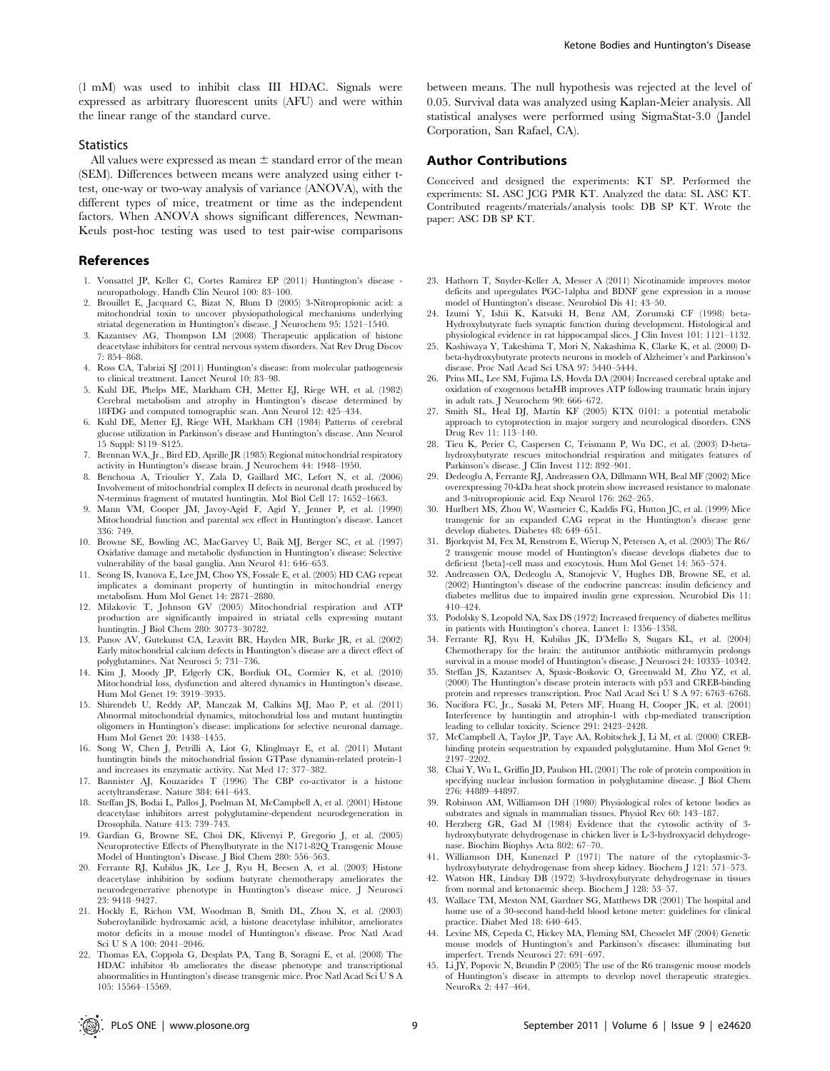(1 mM) was used to inhibit class III HDAC. Signals were expressed as arbitrary fluorescent units (AFU) and were within the linear range of the standard curve.

#### **Statistics**

All values were expressed as mean  $\pm$  standard error of the mean (SEM). Differences between means were analyzed using either ttest, one-way or two-way analysis of variance (ANOVA), with the different types of mice, treatment or time as the independent factors. When ANOVA shows significant differences, Newman-Keuls post-hoc testing was used to test pair-wise comparisons

#### References

- 1. Vonsattel JP, Keller C, Cortes Ramirez EP (2011) Huntington's disease neuropathology. Handb Clin Neurol 100: 83–100.
- 2. Brouillet E, Jacquard C, Bizat N, Blum D (2005) 3-Nitropropionic acid: a mitochondrial toxin to uncover physiopathological mechanisms underlying striatal degeneration in Huntington's disease. J Neurochem 95: 1521–1540.
- 3. Kazantsev AG, Thompson LM (2008) Therapeutic application of histone deacetylase inhibitors for central nervous system disorders. Nat Rev Drug Discov 7: 854–868.
- 4. Ross CA, Tabrizi SJ (2011) Huntington's disease: from molecular pathogenesis to clinical treatment. Lancet Neurol 10: 83–98.
- 5. Kuhl DE, Phelps ME, Markham CH, Metter EJ, Riege WH, et al. (1982) Cerebral metabolism and atrophy in Huntington's disease determined by 18FDG and computed tomographic scan. Ann Neurol 12: 425–434.
- 6. Kuhl DE, Metter EJ, Riege WH, Markham CH (1984) Patterns of cerebral glucose utilization in Parkinson's disease and Huntington's disease. Ann Neurol 15 Suppl: S119–S125.
- 7. Brennan WA, Jr., Bird ED, Aprille JR (1985) Regional mitochondrial respiratory activity in Huntington's disease brain. J Neurochem 44: 1948–1950.
- 8. Benchoua A, Trioulier Y, Zala D, Gaillard MC, Lefort N, et al. (2006) Involvement of mitochondrial complex II defects in neuronal death produced by N-terminus fragment of mutated huntingtin. Mol Biol Cell 17: 1652–1663.
- 9. Mann VM, Cooper JM, Javoy-Agid F, Agid Y, Jenner P, et al. (1990) Mitochondrial function and parental sex effect in Huntington's disease. Lancet 336: 749.
- 10. Browne SE, Bowling AC, MacGarvey U, Baik MJ, Berger SC, et al. (1997) Oxidative damage and metabolic dysfunction in Huntington's disease: Selective vulnerability of the basal ganglia. Ann Neurol 41: 646–653.
- 11. Seong IS, Ivanova E, Lee JM, Choo YS, Fossale E, et al. (2005) HD CAG repeat implicates a dominant property of huntingtin in mitochondrial energy metabolism. Hum Mol Genet 14: 2871–2880.
- 12. Milakovic T, Johnson GV (2005) Mitochondrial respiration and ATP production are significantly impaired in striatal cells expressing mutant huntingtin. J Biol Chem 280: 30773–30782.
- 13. Panov AV, Gutekunst CA, Leavitt BR, Hayden MR, Burke JR, et al. (2002) Early mitochondrial calcium defects in Huntington's disease are a direct effect of polyglutamines. Nat Neurosci 5: 731–736.
- 14. Kim J, Moody JP, Edgerly CK, Bordiuk OL, Cormier K, et al. (2010) Mitochondrial loss, dysfunction and altered dynamics in Huntington's disease. Hum Mol Genet 19: 3919–3935.
- 15. Shirendeb U, Reddy AP, Manczak M, Calkins MJ, Mao P, et al. (2011) Abnormal mitochondrial dynamics, mitochondrial loss and mutant huntingtin oligomers in Huntington's disease: implications for selective neuronal damage. Hum Mol Genet 20: 1438–1455.
- 16. Song W, Chen J, Petrilli A, Liot G, Klinglmayr E, et al. (2011) Mutant huntingtin binds the mitochondrial fission GTPase dynamin-related protein-1 and increases its enzymatic activity. Nat Med 17: 377–382.
- 17. Bannister AJ, Kouzarides T (1996) The CBP co-activator is a histone acetyltransferase. Nature 384: 641–643.
- 18. Steffan JS, Bodai L, Pallos J, Poelman M, McCampbell A, et al. (2001) Histone deacetylase inhibitors arrest polyglutamine-dependent neurodegeneration in Drosophila. Nature 413: 739–743.
- 19. Gardian G, Browne SE, Choi DK, Klivenyi P, Gregorio J, et al. (2005) Neuroprotective Effects of Phenylbutyrate in the N171-82Q Transgenic Mouse Model of Huntington's Disease. J Biol Chem 280: 556–563.
- 20. Ferrante RJ, Kubilus JK, Lee J, Ryu H, Beesen A, et al. (2003) Histone deacetylase inhibition by sodium butyrate chemotherapy ameliorates the neurodegenerative phenotype in Huntington's disease mice. J Neurosci 23: 9418–9427.
- 21. Hockly E, Richon VM, Woodman B, Smith DL, Zhou X, et al. (2003) Suberoylanilide hydroxamic acid, a histone deacetylase inhibitor, ameliorates motor deficits in a mouse model of Huntington's disease. Proc Natl Acad Sci U S A 100: 2041–2046.
- 22. Thomas EA, Coppola G, Desplats PA, Tang B, Soragni E, et al. (2008) The HDAC inhibitor 4b ameliorates the disease phenotype and transcriptional abnormalities in Huntington's disease transgenic mice. Proc Natl Acad Sci U S A 105: 15564–15569.

between means. The null hypothesis was rejected at the level of 0.05. Survival data was analyzed using Kaplan-Meier analysis. All statistical analyses were performed using SigmaStat-3.0 (Jandel Corporation, San Rafael, CA).

## Author Contributions

Conceived and designed the experiments: KT SP. Performed the experiments: SL ASC JCG PMR KT. Analyzed the data: SL ASC KT. Contributed reagents/materials/analysis tools: DB SP KT. Wrote the paper: ASC DB SP KT.

- 23. Hathorn T, Snyder-Keller A, Messer A (2011) Nicotinamide improves motor deficits and upregulates PGC-1alpha and BDNF gene expression in a mouse model of Huntington's disease. Neurobiol Dis 41: 43–50.
- 24. Izumi Y, Ishii K, Katsuki H, Benz AM, Zorumski CF (1998) beta-Hydroxybutyrate fuels synaptic function during development. Histological and physiological evidence in rat hippocampal slices. J Clin Invest 101: 1121–1132.
- 25. Kashiwaya Y, Takeshima T, Mori N, Nakashima K, Clarke K, et al. (2000) Dbeta-hydroxybutyrate protects neurons in models of Alzheimer's and Parkinson's disease. Proc Natl Acad Sci USA 97: 5440–5444.
- 26. Prins ML, Lee SM, Fujima LS, Hovda DA (2004) Increased cerebral uptake and oxidation of exogenous betaHB improves ATP following traumatic brain injury in adult rats. J Neurochem 90: 666–672.
- 27. Smith SL, Heal DJ, Martin KF (2005) KTX 0101: a potential metabolic approach to cytoprotection in major surgery and neurological disorders. CNS Drug Rev 11: 113–140.
- 28. Tieu K, Perier C, Caspersen C, Teismann P, Wu DC, et al. (2003) D-betahydroxybutyrate rescues mitochondrial respiration and mitigates features of Parkinson's disease. J Clin Invest 112: 892–901.
- 29. Dedeoglu A, Ferrante RJ, Andreassen OA, Dillmann WH, Beal MF (2002) Mice overexpressing 70-kDa heat shock protein show increased resistance to malonate and 3-nitropropionic acid. Exp Neurol 176: 262–265.
- 30. Hurlbert MS, Zhou W, Wasmeier C, Kaddis FG, Hutton JC, et al. (1999) Mice transgenic for an expanded CAG repeat in the Huntington's disease gene develop diabetes. Diabetes 48: 649–651.
- 31. Bjorkqvist M, Fex M, Renstrom E, Wierup N, Petersen A, et al. (2005) The R6/ 2 transgenic mouse model of Huntington's disease develops diabetes due to deficient {beta}-cell mass and exocytosis. Hum Mol Genet 14: 565–574.
- 32. Andreassen OA, Dedeoglu A, Stanojevic V, Hughes DB, Browne SE, et al. (2002) Huntington's disease of the endocrine pancreas: insulin deficiency and diabetes mellitus due to impaired insulin gene expression. Neurobiol Dis 11: 410–424.
- 33. Podolsky S, Leopold NA, Sax DS (1972) Increased frequency of diabetes mellitus in patients with Huntington's chorea. Lancet 1: 1356–1358.
- 34. Ferrante RJ, Ryu H, Kubilus JK, D'Mello S, Sugars KL, et al. (2004) Chemotherapy for the brain: the antitumor antibiotic mithramycin prolongs survival in a mouse model of Huntington's disease. J Neurosci 24: 10335–10342.
- 35. Steffan JS, Kazantsev A, Spasic-Boskovic O, Greenwald M, Zhu YZ, et al. (2000) The Huntington's disease protein interacts with p53 and CREB-binding protein and represses transcription. Proc Natl Acad Sci U S A 97: 6763–6768.
- 36. Nucifora FC, Jr., Sasaki M, Peters MF, Huang H, Cooper JK, et al. (2001) Interference by huntingtin and atrophin-1 with cbp-mediated transcription leading to cellular toxicity. Science 291: 2423–2428.
- 37. McCampbell A, Taylor JP, Taye AA, Robitschek J, Li M, et al. (2000) CREBbinding protein sequestration by expanded polyglutamine. Hum Mol Genet 9: 2197–2202.
- 38. Chai Y, Wu L, Griffin JD, Paulson HL (2001) The role of protein composition in specifying nuclear inclusion formation in polyglutamine disease. J Biol Chem 276: 44889–44897.
- 39. Robinson AM, Williamson DH (1980) Physiological roles of ketone bodies as substrates and signals in mammalian tissues. Physiol Rev 60: 143–187.
- 40. Herzberg GR, Gad M (1984) Evidence that the cytosolic activity of 3 hydroxybutyrate dehydrogenase in chicken liver is L-3-hydroxyacid dehydrogenase. Biochim Biophys Acta 802: 67–70.
- 41. Williamson DH, Kunenzel P (1971) The nature of the cytoplasmic-3 hydroxybutyrate dehydrogenase from sheep kidney. Biochem J 121: 571–573.
- 42. Watson HR, Lindsay DB (1972) 3-hydroxybutyrate dehydrogenase in tissues from normal and ketonaemic sheep. Biochem J 128: 53–57.
- 43. Wallace TM, Meston NM, Gardner SG, Matthews DR (2001) The hospital and home use of a 30-second hand-held blood ketone meter: guidelines for clinical practice. Diabet Med 18: 640–645.
- 44. Levine MS, Cepeda C, Hickey MA, Fleming SM, Chesselet MF (2004) Genetic mouse models of Huntington's and Parkinson's diseases: illuminating but imperfect. Trends Neurosci 27: 691–697.
- 45. Li JY, Popovic N, Brundin P (2005) The use of the R6 transgenic mouse models of Huntington's disease in attempts to develop novel therapeutic strategies. NeuroRx 2: 447–464.